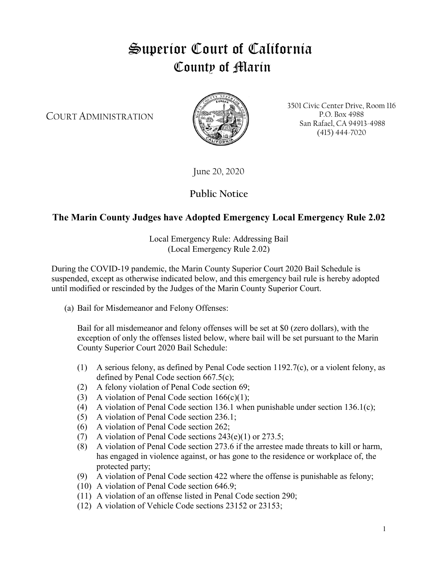## Superior Court of California County of Marin

COURT ADMINISTRATION



3501 Civic Center Drive, Room 116 P.O. Box 4988 San Rafael, CA 94913-4988 (415) 444-7020

June 20, 2020

**Public Notice**

## **The Marin County Judges have Adopted Emergency Local Emergency Rule 2.02**

Local Emergency Rule: Addressing Bail (Local Emergency Rule 2.02)

During the COVID-19 pandemic, the Marin County Superior Court 2020 Bail Schedule is suspended, except as otherwise indicated below, and this emergency bail rule is hereby adopted until modified or rescinded by the Judges of the Marin County Superior Court.

(a) Bail for Misdemeanor and Felony Offenses:

Bail for all misdemeanor and felony offenses will be set at \$0 (zero dollars), with the exception of only the offenses listed below, where bail will be set pursuant to the Marin County Superior Court 2020 Bail Schedule:

- (1) A serious felony, as defined by Penal Code section 1192.7(c), or a violent felony, as defined by Penal Code section 667.5(c);
- (2) A felony violation of Penal Code section 69;
- (3) A violation of Penal Code section  $166(c)(1)$ ;
- (4) A violation of Penal Code section 136.1 when punishable under section 136.1(c);
- (5) A violation of Penal Code section 236.1;
- (6) A violation of Penal Code section 262;
- (7) A violation of Penal Code sections 243(e)(1) or 273.5;
- (8) A violation of Penal Code section 273.6 if the arrestee made threats to kill or harm, has engaged in violence against, or has gone to the residence or workplace of, the protected party;
- (9) A violation of Penal Code section 422 where the offense is punishable as felony;
- (10) A violation of Penal Code section 646.9;
- (11) A violation of an offense listed in Penal Code section 290;
- (12) A violation of Vehicle Code sections 23152 or 23153;